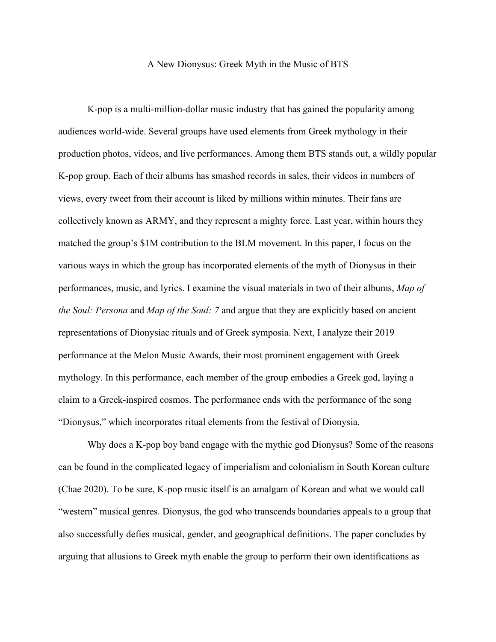## A New Dionysus: Greek Myth in the Music of BTS

K-pop is a multi-million-dollar music industry that has gained the popularity among audiences world-wide. Several groups have used elements from Greek mythology in their production photos, videos, and live performances. Among them BTS stands out, a wildly popular K-pop group. Each of their albums has smashed records in sales, their videos in numbers of views, every tweet from their account is liked by millions within minutes. Their fans are collectively known as ARMY, and they represent a mighty force. Last year, within hours they matched the group's \$1M contribution to the BLM movement. In this paper, I focus on the various ways in which the group has incorporated elements of the myth of Dionysus in their performances, music, and lyrics. I examine the visual materials in two of their albums, *Map of the Soul: Persona* and *Map of the Soul: 7* and argue that they are explicitly based on ancient representations of Dionysiac rituals and of Greek symposia. Next, I analyze their 2019 performance at the Melon Music Awards, their most prominent engagement with Greek mythology. In this performance, each member of the group embodies a Greek god, laying a claim to a Greek-inspired cosmos. The performance ends with the performance of the song "Dionysus," which incorporates ritual elements from the festival of Dionysia.

Why does a K-pop boy band engage with the mythic god Dionysus? Some of the reasons can be found in the complicated legacy of imperialism and colonialism in South Korean culture (Chae 2020). To be sure, K-pop music itself is an amalgam of Korean and what we would call "western" musical genres. Dionysus, the god who transcends boundaries appeals to a group that also successfully defies musical, gender, and geographical definitions. The paper concludes by arguing that allusions to Greek myth enable the group to perform their own identifications as